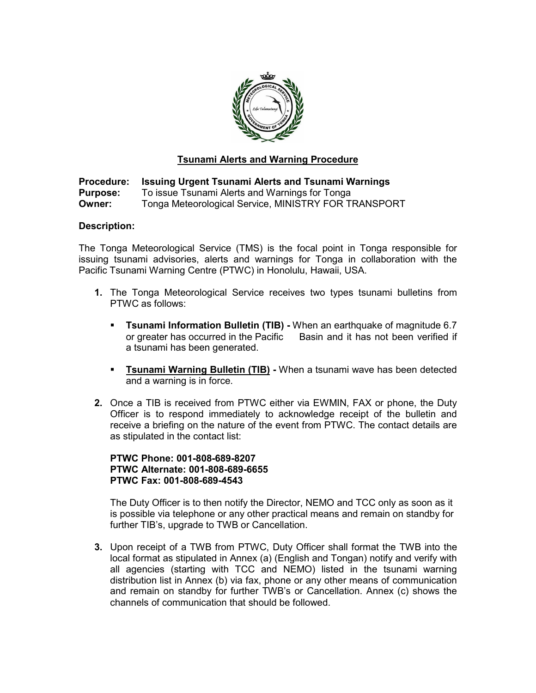

### Tsunami Alerts and Warning Procedure

Procedure: Issuing Urgent Tsunami Alerts and Tsunami Warnings **Purpose:** To issue Tsunami Alerts and Warnings for Tonga Owner: Tonga Meteorological Service, MINISTRY FOR TRANSPORT

#### Description:

The Tonga Meteorological Service (TMS) is the focal point in Tonga responsible for issuing tsunami advisories, alerts and warnings for Tonga in collaboration with the Pacific Tsunami Warning Centre (PTWC) in Honolulu, Hawaii, USA.

- 1. The Tonga Meteorological Service receives two types tsunami bulletins from PTWC as follows:
	- **Tsunami Information Bulletin (TIB) -** When an earthquake of magnitude 6.7 or greater has occurred in the Pacific Basin and it has not been verified if a tsunami has been generated.
	- **Tsunami Warning Bulletin (TIB)** When a tsunami wave has been detected and a warning is in force.
- 2. Once a TIB is received from PTWC either via EWMIN, FAX or phone, the Duty Officer is to respond immediately to acknowledge receipt of the bulletin and receive a briefing on the nature of the event from PTWC. The contact details are as stipulated in the contact list:

#### PTWC Phone: 001-808-689-8207 PTWC Alternate: 001-808-689-6655 PTWC Fax: 001-808-689-4543

The Duty Officer is to then notify the Director, NEMO and TCC only as soon as it is possible via telephone or any other practical means and remain on standby for further TIB's, upgrade to TWB or Cancellation.

3. Upon receipt of a TWB from PTWC, Duty Officer shall format the TWB into the local format as stipulated in Annex (a) (English and Tongan) notify and verify with all agencies (starting with TCC and NEMO) listed in the tsunami warning distribution list in Annex (b) via fax, phone or any other means of communication and remain on standby for further TWB's or Cancellation. Annex (c) shows the channels of communication that should be followed.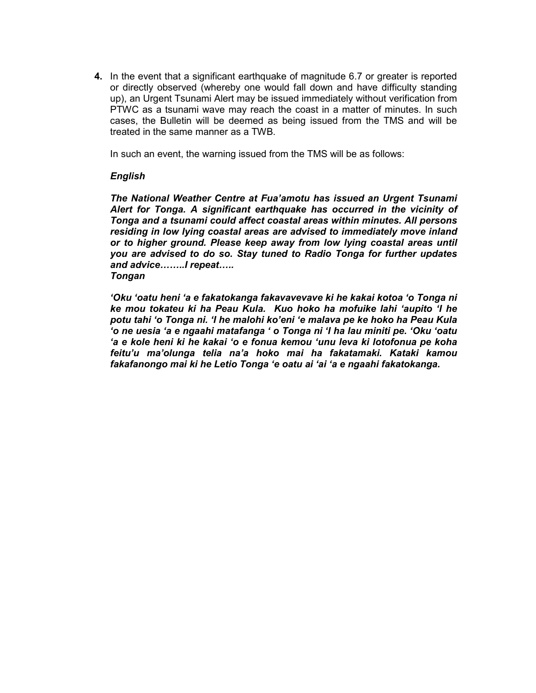4. In the event that a significant earthquake of magnitude 6.7 or greater is reported or directly observed (whereby one would fall down and have difficulty standing up), an Urgent Tsunami Alert may be issued immediately without verification from PTWC as a tsunami wave may reach the coast in a matter of minutes. In such cases, the Bulletin will be deemed as being issued from the TMS and will be treated in the same manner as a TWB.

In such an event, the warning issued from the TMS will be as follows:

#### English

The National Weather Centre at Fua'amotu has issued an Urgent Tsunami Alert for Tonga. A significant earthquake has occurred in the vicinity of Tonga and a tsunami could affect coastal areas within minutes. All persons residing in low lying coastal areas are advised to immediately move inland or to higher ground. Please keep away from low lying coastal areas until you are advised to do so. Stay tuned to Radio Tonga for further updates and advice……..I repeat….. Tongan

'Oku 'oatu heni 'a e fakatokanga fakavavevave ki he kakai kotoa 'o Tonga ni ke mou tokateu ki ha Peau Kula. Kuo hoko ha mofuike lahi 'aupito 'I he potu tahi 'o Tonga ni. 'I he malohi ko'eni 'e malava pe ke hoko ha Peau Kula 'o ne uesia 'a e ngaahi matafanga ' o Tonga ni 'I ha lau miniti pe. 'Oku 'oatu 'a e kole heni ki he kakai 'o e fonua kemou 'unu leva ki lotofonua pe koha feitu'u ma'olunga telia na'a hoko mai ha fakatamaki. Kataki kamou fakafanongo mai ki he Letio Tonga 'e oatu ai 'ai 'a e ngaahi fakatokanga.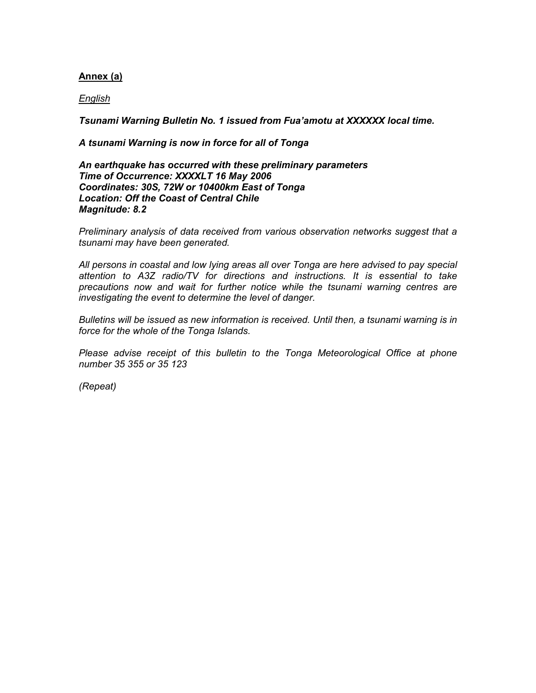#### Annex (a)

English

Tsunami Warning Bulletin No. 1 issued from Fua'amotu at XXXXXX local time.

A tsunami Warning is now in force for all of Tonga

An earthquake has occurred with these preliminary parameters Time of Occurrence: XXXXLT 16 May 2006 Coordinates: 30S, 72W or 10400km East of Tonga Location: Off the Coast of Central Chile Magnitude: 8.2

Preliminary analysis of data received from various observation networks suggest that a tsunami may have been generated.

All persons in coastal and low lying areas all over Tonga are here advised to pay special attention to A3Z radio/TV for directions and instructions. It is essential to take precautions now and wait for further notice while the tsunami warning centres are investigating the event to determine the level of danger.

Bulletins will be issued as new information is received. Until then, a tsunami warning is in force for the whole of the Tonga Islands.

Please advise receipt of this bulletin to the Tonga Meteorological Office at phone number 35 355 or 35 123

(Repeat)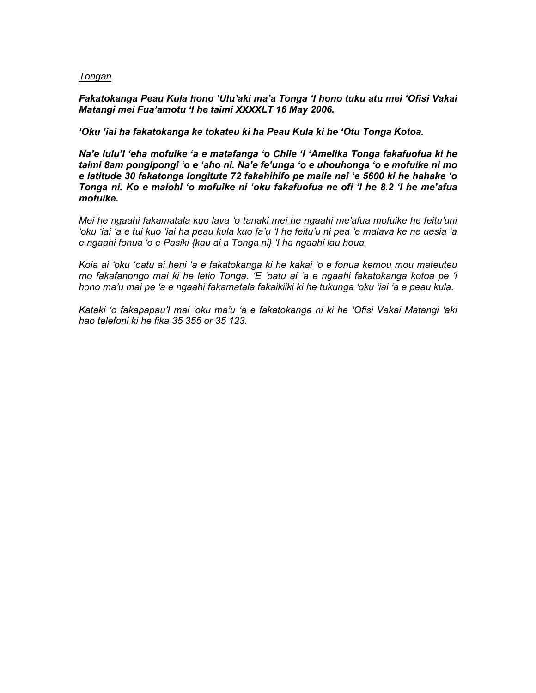#### **Tongan**

Fakatokanga Peau Kula hono 'Ulu'aki ma'a Tonga 'I hono tuku atu mei 'Ofisi Vakai Matangi mei Fua'amotu 'I he taimi XXXXLT 16 May 2006.

'Oku 'iai ha fakatokanga ke tokateu ki ha Peau Kula ki he 'Otu Tonga Kotoa.

Na'e lulu'I 'eha mofuike 'a e matafanga 'o Chile 'I 'Amelika Tonga fakafuofua ki he taimi 8am pongipongi 'o e 'aho ni. Na'e fe'unga 'o e uhouhonga 'o e mofuike ni mo e latitude 30 fakatonga longitute 72 fakahihifo pe maile nai 'e 5600 ki he hahake 'o Tonga ni. Ko e malohi 'o mofuike ni 'oku fakafuofua ne ofi 'I he 8.2 'I he me'afua mofuike.

Mei he ngaahi fakamatala kuo lava 'o tanaki mei he ngaahi me'afua mofuike he feitu'uni 'oku 'iai 'a e tui kuo 'iai ha peau kula kuo fa'u 'I he feitu'u ni pea 'e malava ke ne uesia 'a e ngaahi fonua 'o e Pasiki {kau ai a Tonga ni} 'I ha ngaahi lau houa.

Koia ai 'oku 'oatu ai heni 'a e fakatokanga ki he kakai 'o e fonua kemou mou mateuteu mo fakafanongo mai ki he letio Tonga. 'E 'oatu ai 'a e ngaahi fakatokanga kotoa pe 'i hono ma'u mai pe 'a e ngaahi fakamatala fakaikiiki ki he tukunga 'oku 'iai 'a e peau kula.

Kataki 'o fakapapau'I mai 'oku ma'u 'a e fakatokanga ni ki he 'Ofisi Vakai Matangi 'aki hao telefoni ki he fika 35 355 or 35 123.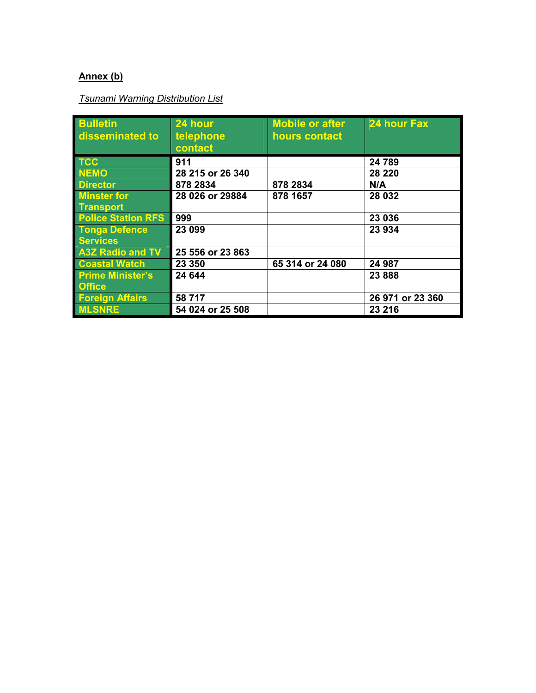## Annex (b)

# Tsunami Warning Distribution List

| <b>Bulletin</b>           | 24 hour          | <b>Mobile or after</b> | 24 hour Fax      |
|---------------------------|------------------|------------------------|------------------|
| disseminated to           | telephone        | hours contact          |                  |
|                           | contact          |                        |                  |
| <b>TCC</b>                | 911              |                        | 24 789           |
| <b>NEMO</b>               | 28 215 or 26 340 |                        | 28 2 20          |
| <b>Director</b>           | 878 2834         | 878 2834               | N/A              |
| <b>Minster for</b>        | 28 026 or 29884  | 878 1657               | 28 032           |
| <b>Transport</b>          |                  |                        |                  |
| <b>Police Station RFS</b> | 999              |                        | 23 036           |
| <b>Tonga Defence</b>      | 23 099           |                        | 23 934           |
| <b>Services</b>           |                  |                        |                  |
| <b>A3Z Radio and TV</b>   | 25 556 or 23 863 |                        |                  |
| <b>Coastal Watch</b>      | 23 350           | 65 314 or 24 080       | 24 987           |
| <b>Prime Minister's</b>   | 24 644           |                        | 23 8 8 8         |
| <b>Office</b>             |                  |                        |                  |
| <b>Foreign Affairs</b>    | 58 717           |                        | 26 971 or 23 360 |
| <b>MLSNRE</b>             | 54 024 or 25 508 |                        | 23 216           |